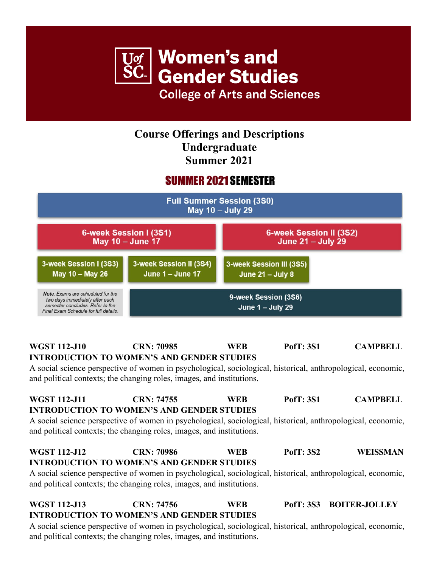

## **Course Offerings and Descriptions Undergraduate Summer 2021**

# **SUMMER 2021 SEMESTER**



#### **WGST 112-J10 CRN: 70985 WEB PofT: 3S1 CAMPBELL INTRODUCTION TO WOMEN'S AND GENDER STUDIES**

A social science perspective of women in psychological, sociological, historical, anthropological, economic, and political contexts; the changing roles, images, and institutions.

## **WGST 112-J11 CRN: 74755 WEB PofT: 3S1 CAMPBELL INTRODUCTION TO WOMEN'S AND GENDER STUDIES**

A social science perspective of women in psychological, sociological, historical, anthropological, economic, and political contexts; the changing roles, images, and institutions.

#### **WGST 112-J12 CRN: 70986 WEB PofT: 3S2 WEISSMAN INTRODUCTION TO WOMEN'S AND GENDER STUDIES**

A social science perspective of women in psychological, sociological, historical, anthropological, economic, and political contexts; the changing roles, images, and institutions.

## **WGST 112-J13 CRN: 74756 WEB PofT: 3S3 BOITER-JOLLEY INTRODUCTION TO WOMEN'S AND GENDER STUDIES**

A social science perspective of women in psychological, sociological, historical, anthropological, economic, and political contexts; the changing roles, images, and institutions.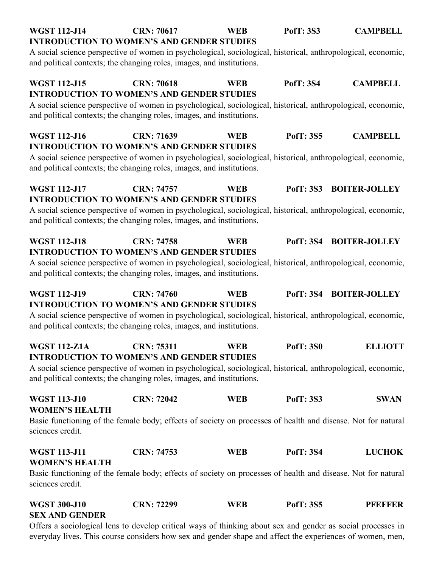| <b>WGST 112-J14</b>                                                                                                                                                                   | <b>CRN: 70617</b> | <b>WEB</b> | <b>PofT: 3S3</b> | <b>CAMPBELL</b>      |
|---------------------------------------------------------------------------------------------------------------------------------------------------------------------------------------|-------------------|------------|------------------|----------------------|
| <b>INTRODUCTION TO WOMEN'S AND GENDER STUDIES</b>                                                                                                                                     |                   |            |                  |                      |
| A social science perspective of women in psychological, sociological, historical, anthropological, economic,<br>and political contexts; the changing roles, images, and institutions. |                   |            |                  |                      |
| <b>WGST 112-J15</b>                                                                                                                                                                   | <b>CRN: 70618</b> | <b>WEB</b> | <b>PofT: 3S4</b> | <b>CAMPBELL</b>      |
| <b>INTRODUCTION TO WOMEN'S AND GENDER STUDIES</b>                                                                                                                                     |                   |            |                  |                      |
| A social science perspective of women in psychological, sociological, historical, anthropological, economic,<br>and political contexts; the changing roles, images, and institutions. |                   |            |                  |                      |
| <b>WGST 112-J16</b><br><b>INTRODUCTION TO WOMEN'S AND GENDER STUDIES</b>                                                                                                              | <b>CRN: 71639</b> | <b>WEB</b> | <b>PofT: 3S5</b> | <b>CAMPBELL</b>      |
| A social science perspective of women in psychological, sociological, historical, anthropological, economic,<br>and political contexts; the changing roles, images, and institutions. |                   |            |                  |                      |
| <b>WGST 112-J17</b>                                                                                                                                                                   | <b>CRN: 74757</b> | <b>WEB</b> | <b>PofT: 3S3</b> | <b>BOITER-JOLLEY</b> |
| <b>INTRODUCTION TO WOMEN'S AND GENDER STUDIES</b><br>A social science perspective of women in psychological, sociological, historical, anthropological, economic,                     |                   |            |                  |                      |
| and political contexts; the changing roles, images, and institutions.                                                                                                                 |                   |            |                  |                      |
| <b>WGST 112-J18</b><br><b>INTRODUCTION TO WOMEN'S AND GENDER STUDIES</b>                                                                                                              | <b>CRN: 74758</b> | <b>WEB</b> | <b>PofT: 3S4</b> | <b>BOITER-JOLLEY</b> |
| A social science perspective of women in psychological, sociological, historical, anthropological, economic,<br>and political contexts; the changing roles, images, and institutions. |                   |            |                  |                      |
| <b>WGST 112-J19</b><br><b>INTRODUCTION TO WOMEN'S AND GENDER STUDIES</b>                                                                                                              | <b>CRN: 74760</b> | <b>WEB</b> | <b>PofT: 3S4</b> | <b>BOITER-JOLLEY</b> |
| A social science perspective of women in psychological, sociological, historical, anthropological, economic,<br>and political contexts; the changing roles, images, and institutions. |                   |            |                  |                      |
| <b>WGST 112-Z1A</b>                                                                                                                                                                   | <b>CRN: 75311</b> | <b>WER</b> | <b>PofT: 3S0</b> | <b>ELLIOTT</b>       |
| <b>INTRODUCTION TO WOMEN'S AND GENDER STUDIES</b>                                                                                                                                     |                   |            |                  |                      |
| A social science perspective of women in psychological, sociological, historical, anthropological, economic,<br>and political contexts; the changing roles, images, and institutions. |                   |            |                  |                      |
| <b>WGST 113-J10</b><br><b>WOMEN'S HEALTH</b>                                                                                                                                          | <b>CRN: 72042</b> | <b>WEB</b> | <b>PofT: 3S3</b> | <b>SWAN</b>          |
| Basic functioning of the female body; effects of society on processes of health and disease. Not for natural<br>sciences credit.                                                      |                   |            |                  |                      |
| <b>WGST 113-J11</b><br><b>WOMEN'S HEALTH</b>                                                                                                                                          | <b>CRN: 74753</b> | <b>WEB</b> | <b>PofT: 3S4</b> | <b>LUCHOK</b>        |
| Basic functioning of the female body; effects of society on processes of health and disease. Not for natural<br>sciences credit.                                                      |                   |            |                  |                      |
| <b>WGST 300-J10</b><br><b>SEX AND GENDER</b>                                                                                                                                          | <b>CRN: 72299</b> | <b>WEB</b> | <b>PofT: 3S5</b> | <b>PFEFFER</b>       |

Offers a sociological lens to develop critical ways of thinking about sex and gender as social processes in everyday lives. This course considers how sex and gender shape and affect the experiences of women, men,